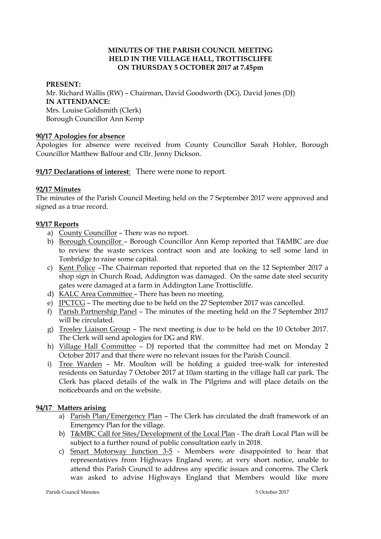## **MINUTES OF THE PARISH COUNCIL MEETING HELD IN THE VILLAGE HALL, TROTTISCLIFFE ON THURSDAY 5 OCTOBER 2017 at 7.45pm**

### **PRESENT:**

Mr. Richard Wallis (RW) – Chairman, David Goodworth (DG), David Jones (DJ) **IN ATTENDANCE:**  Mrs. Louise Goldsmith (Clerk) Borough Councillor Ann Kemp

## **90/17 Apologies for absence**

Apologies for absence were received from County Councillor Sarah Hohler, Borough Councillor Matthew Balfour and Cllr. Jenny Dickson.

**91/17 Declarations of interest**: There were none to report.

## **92/17 Minutes**

The minutes of the Parish Council Meeting held on the 7 September 2017 were approved and signed as a true record.

## **93/17 Reports**

- a) County Councillor There was no report.
- b) Borough Councillor Borough Councillor Ann Kemp reported that T&MBC are due to review the waste services contract soon and are looking to sell some land in Tonbridge to raise some capital.
- c) Kent Police –The Chairman reported that reported that on the 12 September 2017 a shop sign in Church Road, Addington was damaged. On the same date steel security gates were damaged at a farm in Addington Lane Trottiscliffe.
- d) KALC Area Committee There has been no meeting.
- e) JPCTCG The meeting due to be held on the 27 September 2017 was cancelled.
- f) Parish Partnership Panel The minutes of the meeting held on the 7 September 2017 will be circulated.
- g) Trosley Liaison Group The next meeting is due to be held on the 10 October 2017. The Clerk will send apologies for DG and RW.
- h) Village Hall Committee DJ reported that the committee had met on Monday 2 October 2017 and that there were no relevant issues for the Parish Council.
- i) Tree Warden Mr. Moulton will be holding a guided tree-walk for interested residents on Saturday 7 October 2017 at 10am starting in the village hall car park. The Clerk has placed details of the walk in The Pilgrims and will place details on the noticeboards and on the website.

## **94/17 Matters arising**

- a) Parish Plan/Emergency Plan The Clerk has circulated the draft framework of an Emergency Plan for the village.
- b) T&MBC Call for Sites/Development of the Local Plan The draft Local Plan will be subject to a further round of public consultation early in 2018.
- c) Smart Motorway Junction 3-5 Members were disappointed to hear that representatives from Highways England were, at very short notice, unable to attend this Parish Council to address any specific issues and concerns. The Clerk was asked to advise Highways England that Members would like more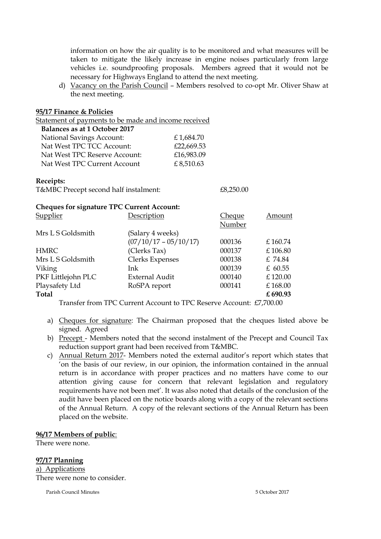information on how the air quality is to be monitored and what measures will be taken to mitigate the likely increase in engine noises particularly from large vehicles i.e. soundproofing proposals. Members agreed that it would not be necessary for Highways England to attend the next meeting.

d) Vacancy on the Parish Council – Members resolved to co-opt Mr. Oliver Shaw at the next meeting.

#### **95/17 Finance & Policies**

Statement of payments to be made and income received

| Balances as at 1 October 2017    |            |
|----------------------------------|------------|
| <b>National Savings Account:</b> | £1,684.70  |
| Nat West TPC TCC Account:        | £22,669.53 |
| Nat West TPC Reserve Account:    | £16,983.09 |
| Nat West TPC Current Account     | £8,510.63  |

#### **Receipts:**

T&MBC Precept second half instalment:  $£8,250.00$ 

#### **Cheques for signature TPC Current Account:**

| <b>Supplier</b>    | Description             | <b>Cheque</b> | Amount    |
|--------------------|-------------------------|---------------|-----------|
|                    |                         | Number        |           |
| Mrs L S Goldsmith  | (Salary 4 weeks)        |               |           |
|                    | $(07/10/17 - 05/10/17)$ | 000136        | £160.74   |
| <b>HMRC</b>        | (Clerks Tax)            | 000137        | £106.80   |
| Mrs L S Goldsmith  | Clerks Expenses         | 000138        | £ 74.84   |
| Viking             | Ink                     | 000139        | £ $60.55$ |
| PKF Littlejohn PLC | <b>External Audit</b>   | 000140        | £120.00   |
| Playsafety Ltd     | RoSPA report            | 000141        | £168.00   |
| <b>Total</b>       |                         |               | £690.93   |
|                    |                         |               |           |

Transfer from TPC Current Account to TPC Reserve Account: £7,700.00

- a) Cheques for signature: The Chairman proposed that the cheques listed above be signed. Agreed
- b) Precept Members noted that the second instalment of the Precept and Council Tax reduction support grant had been received from T&MBC.
- c) Annual Return 2017- Members noted the external auditor's report which states that 'on the basis of our review, in our opinion, the information contained in the annual return is in accordance with proper practices and no matters have come to our attention giving cause for concern that relevant legislation and regulatory requirements have not been met'. It was also noted that details of the conclusion of the audit have been placed on the notice boards along with a copy of the relevant sections of the Annual Return. A copy of the relevant sections of the Annual Return has been placed on the website.

#### **96/17 Members of public**:

There were none.

**97/17 Planning** a) Applications

There were none to consider.

Parish Council Minutes 5 October 2017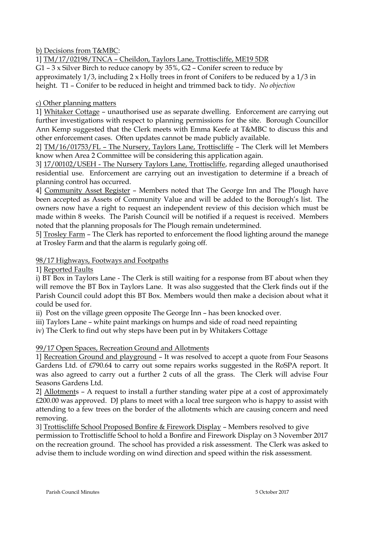b) Decisions from T&MBC:

1] TM/17/02198/TNCA – Cheildon, Taylors Lane, Trottiscliffe, ME19 5DR

G1 – 3 x Silver Birch to reduce canopy by 35%, G2 – Conifer screen to reduce by approximately  $1/3$ , including  $2 \times$  Holly trees in front of Conifers to be reduced by a  $1/3$  in height. T1 – Conifer to be reduced in height and trimmed back to tidy. *No objection*

# c) Other planning matters

1] Whitaker Cottage – unauthorised use as separate dwelling. Enforcement are carrying out further investigations with respect to planning permissions for the site. Borough Councillor Ann Kemp suggested that the Clerk meets with Emma Keefe at T&MBC to discuss this and other enforcement cases. Often updates cannot be made publicly available.

2] TM/16/01753/FL – The Nursery, Taylors Lane, Trottiscliffe – The Clerk will let Members know when Area 2 Committee will be considering this application again.

3] 17/00102/USEH - The Nursery Taylors Lane, Trottiscliffe, regarding alleged unauthorised residential use. Enforcement are carrying out an investigation to determine if a breach of planning control has occurred.

4] Community Asset Register – Members noted that The George Inn and The Plough have been accepted as Assets of Community Value and will be added to the Borough's list. The owners now have a right to request an independent review of this decision which must be made within 8 weeks. The Parish Council will be notified if a request is received. Members noted that the planning proposals for The Plough remain undetermined.

5] Trosley Farm – The Clerk has reported to enforcement the flood lighting around the manege at Trosley Farm and that the alarm is regularly going off.

# 98/17 Highways, Footways and Footpaths

1] Reported Faults

i) BT Box in Taylors Lane - The Clerk is still waiting for a response from BT about when they will remove the BT Box in Taylors Lane. It was also suggested that the Clerk finds out if the Parish Council could adopt this BT Box. Members would then make a decision about what it could be used for.

ii) Post on the village green opposite The George Inn – has been knocked over.

iii) Taylors Lane – white paint markings on humps and side of road need repainting

iv) The Clerk to find out why steps have been put in by Whitakers Cottage

99/17 Open Spaces, Recreation Ground and Allotments

1] Recreation Ground and playground – It was resolved to accept a quote from Four Seasons Gardens Ltd. of £790.64 to carry out some repairs works suggested in the RoSPA report. It was also agreed to carry out a further 2 cuts of all the grass. The Clerk will advise Four Seasons Gardens Ltd.

2] Allotments – A request to install a further standing water pipe at a cost of approximately £200.00 was approved. DJ plans to meet with a local tree surgeon who is happy to assist with attending to a few trees on the border of the allotments which are causing concern and need removing.

3] Trottiscliffe School Proposed Bonfire & Firework Display – Members resolved to give permission to Trottiscliffe School to hold a Bonfire and Firework Display on 3 November 2017 on the recreation ground. The school has provided a risk assessment. The Clerk was asked to advise them to include wording on wind direction and speed within the risk assessment.